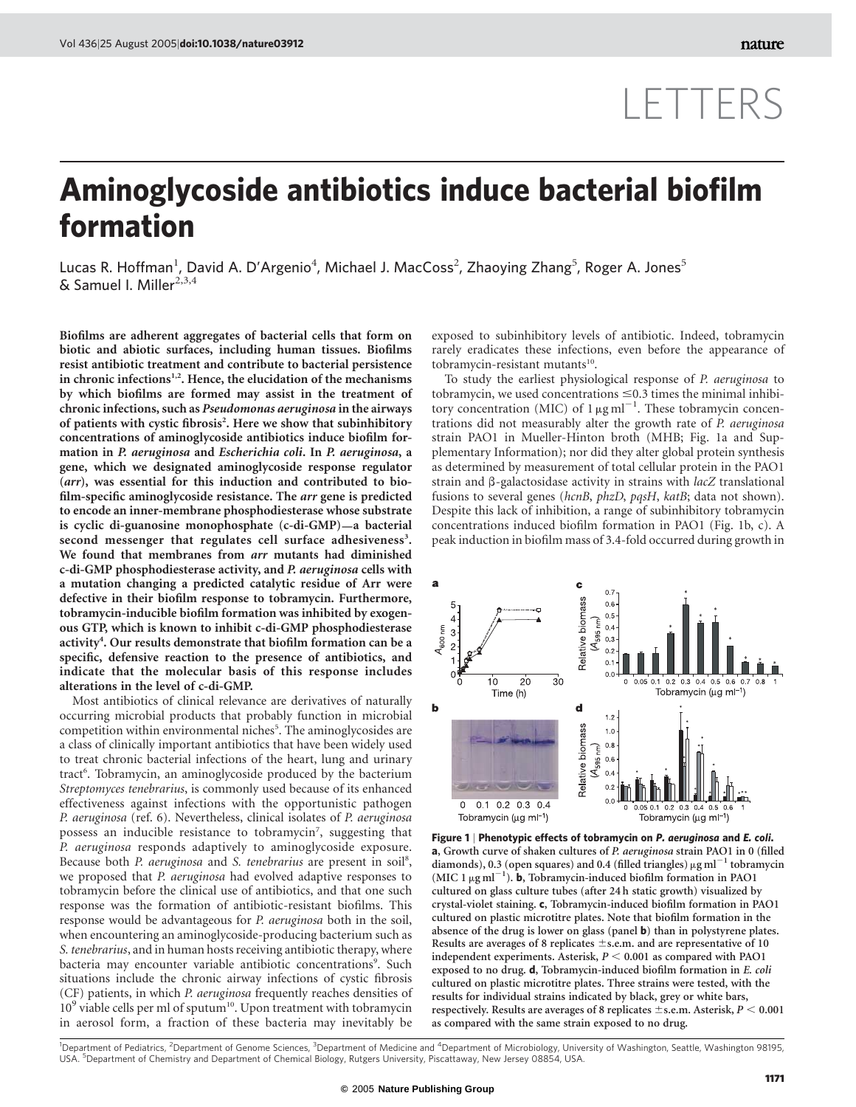## LETTERS

## Aminoglycoside antibiotics induce bacterial biofilm formation

Lucas R. Hoffman<sup>1</sup>, David A. D'Argenio<sup>4</sup>, Michael J. MacCoss<sup>2</sup>, Zhaoying Zhang<sup>5</sup>, Roger A. Jones<sup>5</sup>  $&$  Samuel I. Miller<sup>2,3,4</sup>

Biofilms are adherent aggregates of bacterial cells that form on biotic and abiotic surfaces, including human tissues. Biofilms resist antibiotic treatment and contribute to bacterial persistence in chronic infections $1,2$ . Hence, the elucidation of the mechanisms by which biofilms are formed may assist in the treatment of chronic infections, such as Pseudomonas aeruginosa in the airways of patients with cystic fibrosis<sup>2</sup>. Here we show that subinhibitory concentrations of aminoglycoside antibiotics induce biofilm formation in P. aeruginosa and Escherichia coli. In P. aeruginosa, a gene, which we designated aminoglycoside response regulator (arr), was essential for this induction and contributed to biofilm-specific aminoglycoside resistance. The arr gene is predicted to encode an inner-membrane phosphodiesterase whose substrate is cyclic di-guanosine monophosphate (c-di-GMP)—a bacterial second messenger that regulates cell surface adhesiveness<sup>3</sup>. We found that membranes from arr mutants had diminished c-di-GMP phosphodiesterase activity, and P. aeruginosa cells with a mutation changing a predicted catalytic residue of Arr were defective in their biofilm response to tobramycin. Furthermore, tobramycin-inducible biofilm formation was inhibited by exogenous GTP, which is known to inhibit c-di-GMP phosphodiesterase activity<sup>4</sup>. Our results demonstrate that biofilm formation can be a specific, defensive reaction to the presence of antibiotics, and indicate that the molecular basis of this response includes alterations in the level of c-di-GMP.

Most antibiotics of clinical relevance are derivatives of naturally occurring microbial products that probably function in microbial competition within environmental niches<sup>5</sup>. The aminoglycosides are a class of clinically important antibiotics that have been widely used to treat chronic bacterial infections of the heart, lung and urinary tract<sup>6</sup>. Tobramycin, an aminoglycoside produced by the bacterium Streptomyces tenebrarius, is commonly used because of its enhanced effectiveness against infections with the opportunistic pathogen P. aeruginosa (ref. 6). Nevertheless, clinical isolates of P. aeruginosa possess an inducible resistance to tobramycin<sup>7</sup>, suggesting that P. aeruginosa responds adaptively to aminoglycoside exposure. Because both P. aeruginosa and S. tenebrarius are present in soil<sup>8</sup>, we proposed that P. aeruginosa had evolved adaptive responses to tobramycin before the clinical use of antibiotics, and that one such response was the formation of antibiotic-resistant biofilms. This response would be advantageous for P. aeruginosa both in the soil, when encountering an aminoglycoside-producing bacterium such as S. tenebrarius, and in human hosts receiving antibiotic therapy, where bacteria may encounter variable antibiotic concentrations<sup>9</sup>. Such situations include the chronic airway infections of cystic fibrosis (CF) patients, in which P. aeruginosa frequently reaches densities of 10<sup>9</sup> viable cells per ml of sputum<sup>10</sup>. Upon treatment with tobramycin in aerosol form, a fraction of these bacteria may inevitably be exposed to subinhibitory levels of antibiotic. Indeed, tobramycin rarely eradicates these infections, even before the appearance of tobramycin-resistant mutants $10$ .

To study the earliest physiological response of P. aeruginosa to tobramycin, we used concentrations  $\leq 0.3$  times the minimal inhibitory concentration (MIC) of  $1 \mu g$  ml<sup>-1</sup>. These tobramycin concentrations did not measurably alter the growth rate of P. aeruginosa strain PAO1 in Mueller-Hinton broth (MHB; Fig. 1a and Supplementary Information); nor did they alter global protein synthesis as determined by measurement of total cellular protein in the PAO1 strain and  $\beta$ -galactosidase activity in strains with *lacZ* translational fusions to several genes (hcnB, phzD, pqsH, katB; data not shown). Despite this lack of inhibition, a range of subinhibitory tobramycin concentrations induced biofilm formation in PAO1 (Fig. 1b, c). A peak induction in biofilm mass of 3.4-fold occurred during growth in



Figure 1 | Phenotypic effects of tobramycin on P. aeruginosa and E. coli. a, Growth curve of shaken cultures of P. aeruginosa strain PAO1 in 0 (filled diamonds), 0.3 (open squares) and 0.4 (filled triangles)  $\mu{\rm g\,ml}^{-1}$  tobramycin (MIC 1  $\mu$ g ml<sup>-1</sup>). **b**, Tobramycin-induced biofilm formation in PAO1 cultured on glass culture tubes (after 24 h static growth) visualized by crystal-violet staining. c, Tobramycin-induced biofilm formation in PAO1 cultured on plastic microtitre plates. Note that biofilm formation in the absence of the drug is lower on glass (panel b) than in polystyrene plates. Results are averages of 8 replicates  $\pm$ s.e.m. and are representative of 10 independent experiments. Asterisk,  $P < 0.001$  as compared with PAO1 exposed to no drug. d, Tobramycin-induced biofilm formation in E. coli cultured on plastic microtitre plates. Three strains were tested, with the results for individual strains indicated by black, grey or white bars, respectively. Results are averages of 8 replicates  $\pm$  s.e.m. Asterisk,  $P < 0.001$ as compared with the same strain exposed to no drug.

<sup>1</sup>Department of Pediatrics, <sup>2</sup>Department of Genome Sciences, <sup>3</sup>Department of Medicine and <sup>4</sup>Department of Microbiology, University of Washington, Seattle, Washington 98195, USA. <sup>5</sup> Department of Chemistry and Department of Chemical Biology, Rutgers University, Piscattaway, New Jersey 08854, USA.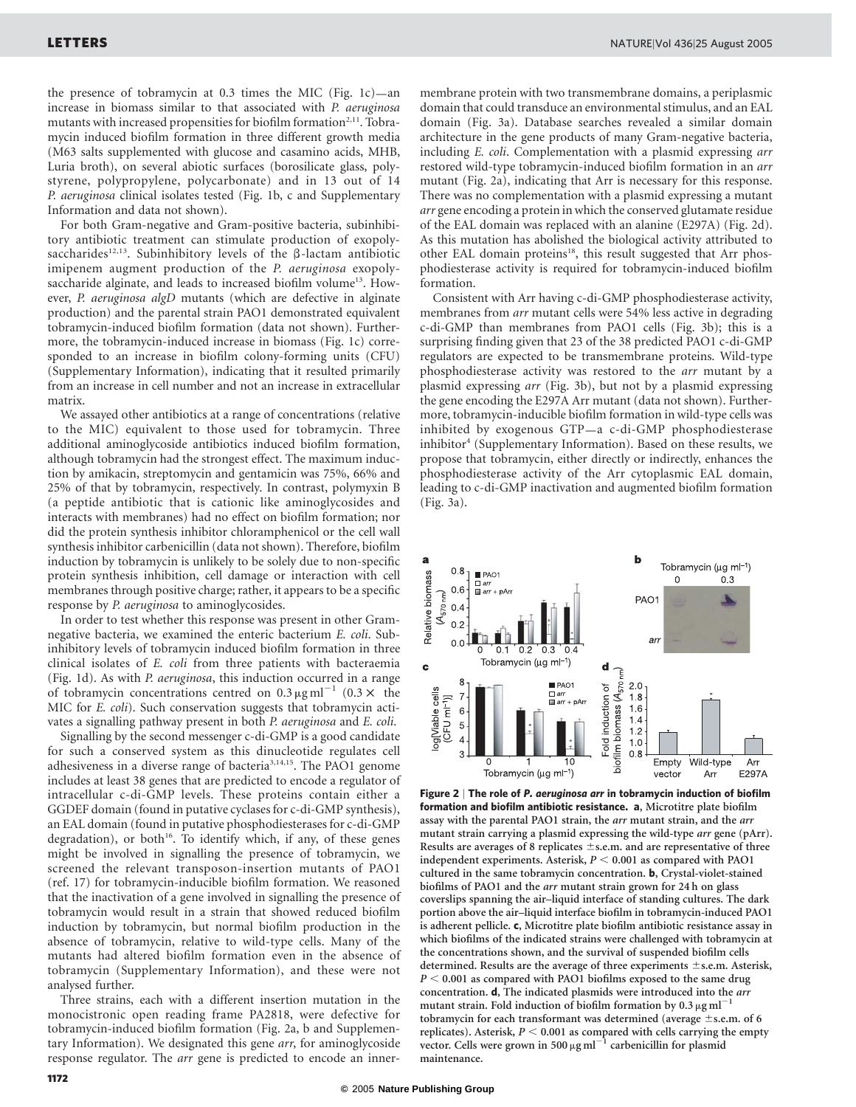the presence of tobramycin at 0.3 times the MIC (Fig. 1c)—an increase in biomass similar to that associated with P. aeruginosa mutants with increased propensities for biofilm formation<sup>2,11</sup>. Tobramycin induced biofilm formation in three different growth media (M63 salts supplemented with glucose and casamino acids, MHB, Luria broth), on several abiotic surfaces (borosilicate glass, polystyrene, polypropylene, polycarbonate) and in 13 out of 14 P. aeruginosa clinical isolates tested (Fig. 1b, c and Supplementary Information and data not shown).

For both Gram-negative and Gram-positive bacteria, subinhibitory antibiotic treatment can stimulate production of exopolysaccharides<sup>12,13</sup>. Subinhibitory levels of the  $\beta$ -lactam antibiotic imipenem augment production of the P. aeruginosa exopolysaccharide alginate, and leads to increased biofilm volume<sup>13</sup>. However, P. aeruginosa algD mutants (which are defective in alginate production) and the parental strain PAO1 demonstrated equivalent tobramycin-induced biofilm formation (data not shown). Furthermore, the tobramycin-induced increase in biomass (Fig. 1c) corresponded to an increase in biofilm colony-forming units (CFU) (Supplementary Information), indicating that it resulted primarily from an increase in cell number and not an increase in extracellular matrix.

We assayed other antibiotics at a range of concentrations (relative to the MIC) equivalent to those used for tobramycin. Three additional aminoglycoside antibiotics induced biofilm formation, although tobramycin had the strongest effect. The maximum induction by amikacin, streptomycin and gentamicin was 75%, 66% and 25% of that by tobramycin, respectively. In contrast, polymyxin B (a peptide antibiotic that is cationic like aminoglycosides and interacts with membranes) had no effect on biofilm formation; nor did the protein synthesis inhibitor chloramphenicol or the cell wall synthesis inhibitor carbenicillin (data not shown). Therefore, biofilm induction by tobramycin is unlikely to be solely due to non-specific protein synthesis inhibition, cell damage or interaction with cell membranes through positive charge; rather, it appears to be a specific response by P. aeruginosa to aminoglycosides.

In order to test whether this response was present in other Gramnegative bacteria, we examined the enteric bacterium E. coli. Subinhibitory levels of tobramycin induced biofilm formation in three clinical isolates of E. coli from three patients with bacteraemia (Fig. 1d). As with P. aeruginosa, this induction occurred in a range of tobramycin concentrations centred on  $0.3 \mu g \text{ ml}^{-1}$  (0.3  $\times$  the MIC for E. coli). Such conservation suggests that tobramycin activates a signalling pathway present in both P. aeruginosa and E. coli.

Signalling by the second messenger c-di-GMP is a good candidate for such a conserved system as this dinucleotide regulates cell adhesiveness in a diverse range of bacteria<sup>3,14,15</sup>. The PAO1 genome includes at least 38 genes that are predicted to encode a regulator of intracellular c-di-GMP levels. These proteins contain either a GGDEF domain (found in putative cyclases for c-di-GMP synthesis), an EAL domain (found in putative phosphodiesterases for c-di-GMP degradation), or both<sup>16</sup>. To identify which, if any, of these genes might be involved in signalling the presence of tobramycin, we screened the relevant transposon-insertion mutants of PAO1 (ref. 17) for tobramycin-inducible biofilm formation. We reasoned that the inactivation of a gene involved in signalling the presence of tobramycin would result in a strain that showed reduced biofilm induction by tobramycin, but normal biofilm production in the absence of tobramycin, relative to wild-type cells. Many of the mutants had altered biofilm formation even in the absence of tobramycin (Supplementary Information), and these were not analysed further.

Three strains, each with a different insertion mutation in the monocistronic open reading frame PA2818, were defective for tobramycin-induced biofilm formation (Fig. 2a, b and Supplementary Information). We designated this gene arr, for aminoglycoside response regulator. The arr gene is predicted to encode an innermembrane protein with two transmembrane domains, a periplasmic domain that could transduce an environmental stimulus, and an EAL domain (Fig. 3a). Database searches revealed a similar domain architecture in the gene products of many Gram-negative bacteria, including E. coli. Complementation with a plasmid expressing arr restored wild-type tobramycin-induced biofilm formation in an arr mutant (Fig. 2a), indicating that Arr is necessary for this response. There was no complementation with a plasmid expressing a mutant arr gene encoding a protein in which the conserved glutamate residue of the EAL domain was replaced with an alanine (E297A) (Fig. 2d). As this mutation has abolished the biological activity attributed to other EAL domain proteins<sup>18</sup>, this result suggested that Arr phosphodiesterase activity is required for tobramycin-induced biofilm formation.

Consistent with Arr having c-di-GMP phosphodiesterase activity, membranes from arr mutant cells were 54% less active in degrading c-di-GMP than membranes from PAO1 cells (Fig. 3b); this is a surprising finding given that 23 of the 38 predicted PAO1 c-di-GMP regulators are expected to be transmembrane proteins. Wild-type phosphodiesterase activity was restored to the arr mutant by a plasmid expressing arr (Fig. 3b), but not by a plasmid expressing the gene encoding the E297A Arr mutant (data not shown). Furthermore, tobramycin-inducible biofilm formation in wild-type cells was inhibited by exogenous GTP—a c-di-GMP phosphodiesterase inhibitor<sup>4</sup> (Supplementary Information). Based on these results, we propose that tobramycin, either directly or indirectly, enhances the phosphodiesterase activity of the Arr cytoplasmic EAL domain, leading to c-di-GMP inactivation and augmented biofilm formation (Fig. 3a).



Figure 2 | The role of P. aeruginosa arr in tobramycin induction of biofilm formation and biofilm antibiotic resistance. a, Microtitre plate biofilm assay with the parental PAO1 strain, the arr mutant strain, and the arr mutant strain carrying a plasmid expressing the wild-type arr gene (pArr). Results are averages of 8 replicates  $\pm$ s.e.m. and are representative of three independent experiments. Asterisk,  $P < 0.001$  as compared with PAO1 cultured in the same tobramycin concentration. b, Crystal-violet-stained biofilms of PAO1 and the arr mutant strain grown for 24 h on glass coverslips spanning the air–liquid interface of standing cultures. The dark portion above the air–liquid interface biofilm in tobramycin-induced PAO1 is adherent pellicle. c, Microtitre plate biofilm antibiotic resistance assay in which biofilms of the indicated strains were challenged with tobramycin at the concentrations shown, and the survival of suspended biofilm cells determined. Results are the average of three experiments  $\pm$ s.e.m. Asterisk,  $P < 0.001$  as compared with PAO1 biofilms exposed to the same drug concentration. d, The indicated plasmids were introduced into the arr mutant strain. Fold induction of biofilm formation by 0.3  $\mu$ g ml<sup>-1</sup> tobramycin for each transformant was determined (average  $\pm$ s.e.m. of 6 replicates). Asterisk,  $P < 0.001$  as compared with cells carrying the empty vector. Cells were grown in 500  $\mu$ g ml<sup>-1</sup> carbenicillin for plasmid maintenance.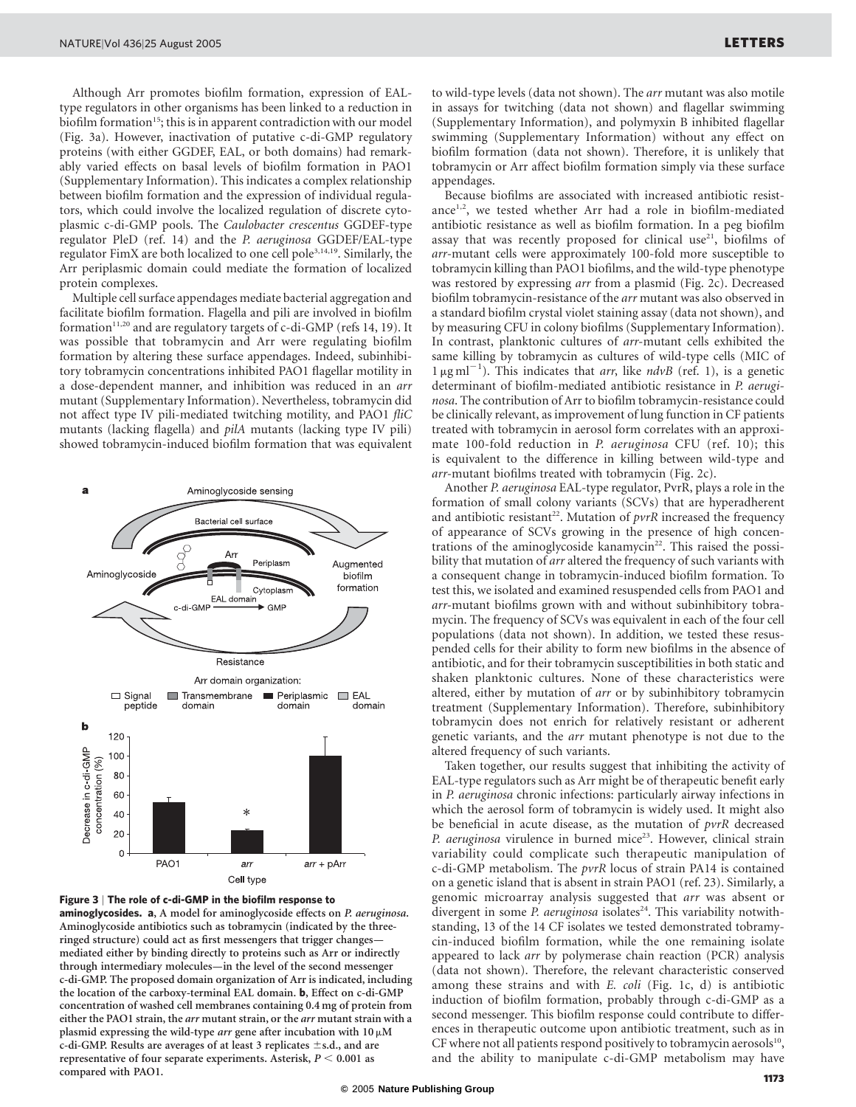Although Arr promotes biofilm formation, expression of EALtype regulators in other organisms has been linked to a reduction in biofilm formation<sup>15</sup>; this is in apparent contradiction with our model (Fig. 3a). However, inactivation of putative c-di-GMP regulatory proteins (with either GGDEF, EAL, or both domains) had remarkably varied effects on basal levels of biofilm formation in PAO1 (Supplementary Information). This indicates a complex relationship between biofilm formation and the expression of individual regulators, which could involve the localized regulation of discrete cytoplasmic c-di-GMP pools. The Caulobacter crescentus GGDEF-type regulator PleD (ref. 14) and the P. aeruginosa GGDEF/EAL-type regulator FimX are both localized to one cell pole<sup>3,14,19</sup>. Similarly, the Arr periplasmic domain could mediate the formation of localized protein complexes.

Multiple cell surface appendages mediate bacterial aggregation and facilitate biofilm formation. Flagella and pili are involved in biofilm formation<sup>11,20</sup> and are regulatory targets of c-di-GMP (refs 14, 19). It was possible that tobramycin and Arr were regulating biofilm formation by altering these surface appendages. Indeed, subinhibitory tobramycin concentrations inhibited PAO1 flagellar motility in a dose-dependent manner, and inhibition was reduced in an arr mutant (Supplementary Information). Nevertheless, tobramycin did not affect type IV pili-mediated twitching motility, and PAO1 fliC mutants (lacking flagella) and pilA mutants (lacking type IV pili) showed tobramycin-induced biofilm formation that was equivalent





aminoglycosides. a, A model for aminoglycoside effects on P. aeruginosa. Aminoglycoside antibiotics such as tobramycin (indicated by the threeringed structure) could act as first messengers that trigger changes mediated either by binding directly to proteins such as Arr or indirectly through intermediary molecules—in the level of the second messenger c-di-GMP. The proposed domain organization of Arr is indicated, including the location of the carboxy-terminal EAL domain. b, Effect on c-di-GMP concentration of washed cell membranes containing 0.4 mg of protein from either the PAO1 strain, the arr mutant strain, or the arr mutant strain with a plasmid expressing the wild-type *arr* gene after incubation with  $10 \mu$ M c-di-GMP. Results are averages of at least 3 replicates  $\pm$ s.d., and are representative of four separate experiments. Asterisk,  $P < 0.001$  as compared with PAO1.

to wild-type levels (data not shown). The arr mutant was also motile in assays for twitching (data not shown) and flagellar swimming (Supplementary Information), and polymyxin B inhibited flagellar swimming (Supplementary Information) without any effect on biofilm formation (data not shown). Therefore, it is unlikely that tobramycin or Arr affect biofilm formation simply via these surface appendages.

Because biofilms are associated with increased antibiotic resistance<sup>1,2</sup>, we tested whether Arr had a role in biofilm-mediated antibiotic resistance as well as biofilm formation. In a peg biofilm assay that was recently proposed for clinical use<sup>21</sup>, biofilms of arr-mutant cells were approximately 100-fold more susceptible to tobramycin killing than PAO1 biofilms, and the wild-type phenotype was restored by expressing arr from a plasmid (Fig. 2c). Decreased biofilm tobramycin-resistance of the arr mutant was also observed in a standard biofilm crystal violet staining assay (data not shown), and by measuring CFU in colony biofilms (Supplementary Information). In contrast, planktonic cultures of arr-mutant cells exhibited the same killing by tobramycin as cultures of wild-type cells (MIC of  $1 \mu\text{g}\text{ml}^{-1}$ ). This indicates that arr, like ndvB (ref. 1), is a genetic determinant of biofilm-mediated antibiotic resistance in P. aeruginosa. The contribution of Arr to biofilm tobramycin-resistance could be clinically relevant, as improvement of lung function in CF patients treated with tobramycin in aerosol form correlates with an approximate 100-fold reduction in P. aeruginosa CFU (ref. 10); this is equivalent to the difference in killing between wild-type and arr-mutant biofilms treated with tobramycin (Fig. 2c).

Another P. aeruginosa EAL-type regulator, PvrR, plays a role in the formation of small colony variants (SCVs) that are hyperadherent and antibiotic resistant<sup>22</sup>. Mutation of  $pvrR$  increased the frequency of appearance of SCVs growing in the presence of high concentrations of the aminoglycoside kanamycin<sup>22</sup>. This raised the possibility that mutation of arr altered the frequency of such variants with a consequent change in tobramycin-induced biofilm formation. To test this, we isolated and examined resuspended cells from PAO1 and arr-mutant biofilms grown with and without subinhibitory tobramycin. The frequency of SCVs was equivalent in each of the four cell populations (data not shown). In addition, we tested these resuspended cells for their ability to form new biofilms in the absence of antibiotic, and for their tobramycin susceptibilities in both static and shaken planktonic cultures. None of these characteristics were altered, either by mutation of arr or by subinhibitory tobramycin treatment (Supplementary Information). Therefore, subinhibitory tobramycin does not enrich for relatively resistant or adherent genetic variants, and the arr mutant phenotype is not due to the altered frequency of such variants.

Taken together, our results suggest that inhibiting the activity of EAL-type regulators such as Arr might be of therapeutic benefit early in P. aeruginosa chronic infections: particularly airway infections in which the aerosol form of tobramycin is widely used. It might also be beneficial in acute disease, as the mutation of pvrR decreased P. aeruginosa virulence in burned mice<sup>23</sup>. However, clinical strain variability could complicate such therapeutic manipulation of c-di-GMP metabolism. The pvrR locus of strain PA14 is contained on a genetic island that is absent in strain PAO1 (ref. 23). Similarly, a genomic microarray analysis suggested that arr was absent or divergent in some P. aeruginosa isolates<sup>24</sup>. This variability notwithstanding, 13 of the 14 CF isolates we tested demonstrated tobramycin-induced biofilm formation, while the one remaining isolate appeared to lack arr by polymerase chain reaction (PCR) analysis (data not shown). Therefore, the relevant characteristic conserved among these strains and with E. coli (Fig. 1c, d) is antibiotic induction of biofilm formation, probably through c-di-GMP as a second messenger. This biofilm response could contribute to differences in therapeutic outcome upon antibiotic treatment, such as in CF where not all patients respond positively to tobramycin aerosols $^{10}$ , and the ability to manipulate c-di-GMP metabolism may have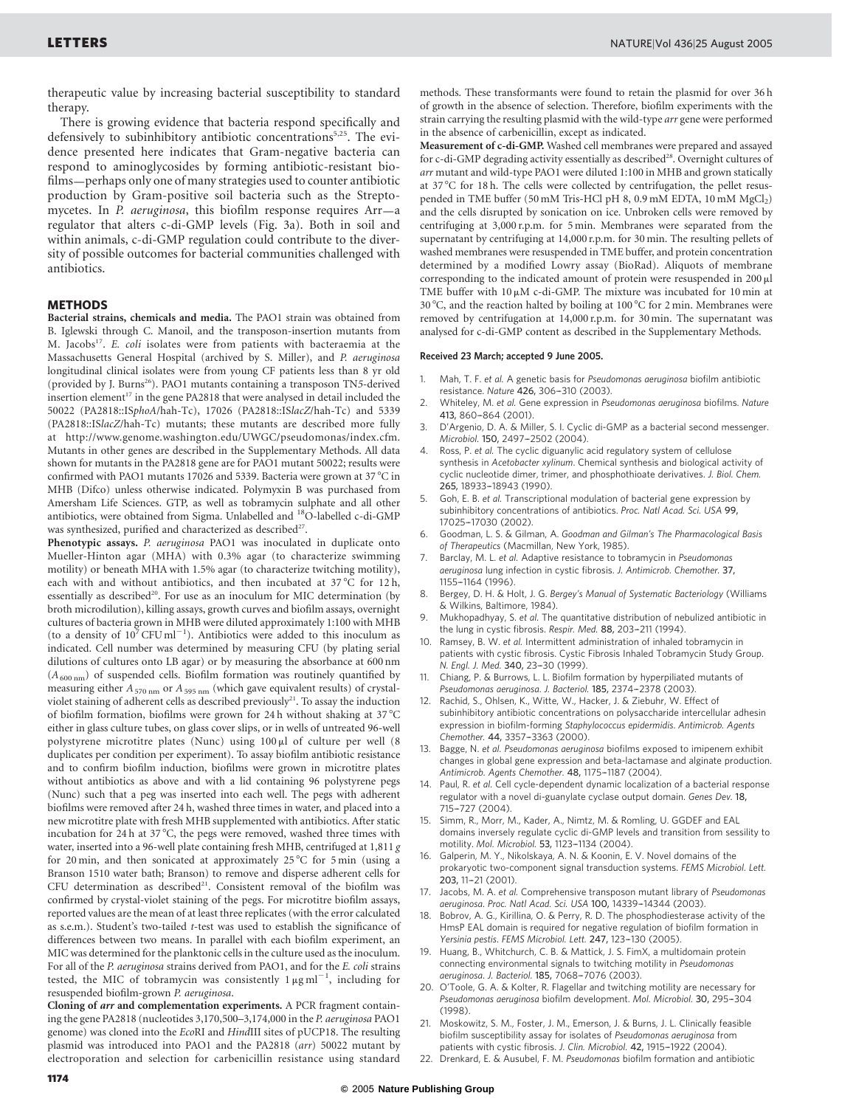therapeutic value by increasing bacterial susceptibility to standard therapy.

There is growing evidence that bacteria respond specifically and defensively to subinhibitory antibiotic concentrations<sup>5,25</sup>. The evidence presented here indicates that Gram-negative bacteria can respond to aminoglycosides by forming antibiotic-resistant biofilms—perhaps only one of many strategies used to counter antibiotic production by Gram-positive soil bacteria such as the Streptomycetes. In P. aeruginosa, this biofilm response requires Arr—a regulator that alters c-di-GMP levels (Fig. 3a). Both in soil and within animals, c-di-GMP regulation could contribute to the diversity of possible outcomes for bacterial communities challenged with antibiotics.

## **METHODS**

Bacterial strains, chemicals and media. The PAO1 strain was obtained from B. Iglewski through C. Manoil, and the transposon-insertion mutants from M. Jacobs<sup>17</sup>. E. coli isolates were from patients with bacteraemia at the Massachusetts General Hospital (archived by S. Miller), and P. aeruginosa longitudinal clinical isolates were from young CF patients less than 8 yr old (provided by J. Burns<sup>26</sup>). PAO1 mutants containing a transposon TN5-derived insertion element<sup>17</sup> in the gene PA2818 that were analysed in detail included the 50022 (PA2818::ISphoA/hah-Tc), 17026 (PA2818::ISlacZ/hah-Tc) and 5339 (PA2818::ISlacZ/hah-Tc) mutants; these mutants are described more fully at http://www.genome.washington.edu/UWGC/pseudomonas/index.cfm. Mutants in other genes are described in the Supplementary Methods. All data shown for mutants in the PA2818 gene are for PAO1 mutant 50022; results were confirmed with PAO1 mutants 17026 and 5339. Bacteria were grown at 37  $\mathrm{^{\circ}C}$  in MHB (Difco) unless otherwise indicated. Polymyxin B was purchased from Amersham Life Sciences. GTP, as well as tobramycin sulphate and all other antibiotics, were obtained from Sigma. Unlabelled and 18O-labelled c-di-GMP was synthesized, purified and characterized as described<sup>27</sup>.

Phenotypic assays. P. aeruginosa PAO1 was inoculated in duplicate onto Mueller-Hinton agar (MHA) with 0.3% agar (to characterize swimming motility) or beneath MHA with 1.5% agar (to characterize twitching motility), each with and without antibiotics, and then incubated at  $37^{\circ}$ C for 12h, essentially as described<sup>20</sup>. For use as an inoculum for MIC determination (by broth microdilution), killing assays, growth curves and biofilm assays, overnight cultures of bacteria grown in MHB were diluted approximately 1:100 with MHB (to a density of  $10^7$  CFU ml<sup>-1</sup>). Antibiotics were added to this inoculum as indicated. Cell number was determined by measuring CFU (by plating serial dilutions of cultures onto LB agar) or by measuring the absorbance at 600 nm  $(A_{600 \text{ nm}})$  of suspended cells. Biofilm formation was routinely quantified by measuring either  $A_{570 \text{ nm}}$  or  $A_{595 \text{ nm}}$  (which gave equivalent results) of crystalviolet staining of adherent cells as described previously<sup>21</sup>. To assay the induction of biofilm formation, biofilms were grown for 24 h without shaking at 37 °C either in glass culture tubes, on glass cover slips, or in wells of untreated 96-well polystyrene microtitre plates (Nunc) using  $100 \mu l$  of culture per well (8) duplicates per condition per experiment). To assay biofilm antibiotic resistance and to confirm biofilm induction, biofilms were grown in microtitre plates without antibiotics as above and with a lid containing 96 polystyrene pegs (Nunc) such that a peg was inserted into each well. The pegs with adherent biofilms were removed after 24 h, washed three times in water, and placed into a new microtitre plate with fresh MHB supplemented with antibiotics. After static incubation for 24 h at  $37^{\circ}$ C, the pegs were removed, washed three times with water, inserted into a 96-well plate containing fresh MHB, centrifuged at 1,811 g for 20 min, and then sonicated at approximately 25 °C for 5 min (using a Branson 1510 water bath; Branson) to remove and disperse adherent cells for CFU determination as described<sup>21</sup>. Consistent removal of the biofilm was confirmed by crystal-violet staining of the pegs. For microtitre biofilm assays, reported values are the mean of at least three replicates (with the error calculated as s.e.m.). Student's two-tailed t-test was used to establish the significance of differences between two means. In parallel with each biofilm experiment, an MIC was determined for the planktonic cells in the culture used as the inoculum. For all of the P. aeruginosa strains derived from PAO1, and for the E. coli strains tested, the MIC of tobramycin was consistently  $1 \mu g \text{ ml}^{-1}$ , including for resuspended biofilm-grown P. aeruginosa.

Cloning of arr and complementation experiments. A PCR fragment containing the gene PA2818 (nucleotides 3,170,500–3,174,000 in the P. aeruginosa PAO1 genome) was cloned into the EcoRI and HindIII sites of pUCP18. The resulting plasmid was introduced into PAO1 and the PA2818 (arr) 50022 mutant by electroporation and selection for carbenicillin resistance using standard

methods. These transformants were found to retain the plasmid for over 36 h of growth in the absence of selection. Therefore, biofilm experiments with the strain carrying the resulting plasmid with the wild-type arr gene were performed in the absence of carbenicillin, except as indicated.

Measurement of c-di-GMP. Washed cell membranes were prepared and assayed for c-di-GMP degrading activity essentially as described<sup>28</sup>. Overnight cultures of arr mutant and wild-type PAO1 were diluted 1:100 in MHB and grown statically at 37 °C for 18 h. The cells were collected by centrifugation, the pellet resuspended in TME buffer (50 mM Tris-HCl pH 8, 0.9 mM EDTA, 10 mM  $MgCl<sub>2</sub>$ ) and the cells disrupted by sonication on ice. Unbroken cells were removed by centrifuging at 3,000 r.p.m. for 5 min. Membranes were separated from the supernatant by centrifuging at 14,000 r.p.m. for 30 min. The resulting pellets of washed membranes were resuspended in TME buffer, and protein concentration determined by a modified Lowry assay (BioRad). Aliquots of membrane corresponding to the indicated amount of protein were resuspended in  $200 \mu$ l TME buffer with  $10 \mu$ M c-di-GMP. The mixture was incubated for 10 min at 30 °C, and the reaction halted by boiling at 100 °C for 2 min. Membranes were removed by centrifugation at 14,000 r.p.m. for 30 min. The supernatant was analysed for c-di-GMP content as described in the Supplementary Methods.

## Received 23 March; accepted 9 June 2005.

- Mah, T. F. et al. A genetic basis for Pseudomonas aeruginosa biofilm antibiotic resistance. Nature 426, 306-310 (2003).
- 2. Whiteley, M. et al. Gene expression in Pseudomonas aeruginosa biofilms. Nature 413, 860-864 (2001).
- D'Argenio, D. A. & Miller, S. I. Cyclic di-GMP as a bacterial second messenger. Microbiol. 150, 2497-2502 (2004).
- Ross, P. et al. The cyclic diguanylic acid regulatory system of cellulose synthesis in Acetobacter xylinum. Chemical synthesis and biological activity of cyclic nucleotide dimer, trimer, and phosphothioate derivatives. J. Biol. Chem. 265, 18933–-18943 (1990).
- 5. Goh, E. B. et al. Transcriptional modulation of bacterial gene expression by subinhibitory concentrations of antibiotics. Proc. Natl Acad. Sci. USA 99, 17025–-17030 (2002).
- 6. Goodman, L. S. & Gilman, A. Goodman and Gilman's The Pharmacological Basis of Therapeutics (Macmillan, New York, 1985).
- Barclay, M. L. et al. Adaptive resistance to tobramycin in Pseudomonas aeruginosa lung infection in cystic fibrosis. J. Antimicrob. Chemother. 37, 1155–-1164 (1996).
- 8. Bergey, D. H. & Holt, J. G. Bergey's Manual of Systematic Bacteriology (Williams & Wilkins, Baltimore, 1984).
- Mukhopadhyay, S. et al. The quantitative distribution of nebulized antibiotic in the lung in cystic fibrosis. Respir. Med. 88, 203-211 (1994).
- 10. Ramsey, B. W. et al. Intermittent administration of inhaled tobramycin in patients with cystic fibrosis. Cystic Fibrosis Inhaled Tobramycin Study Group. N. Engl. J. Med. 340, 23-30 (1999).
- 11. Chiang, P. & Burrows, L. L. Biofilm formation by hyperpiliated mutants of Pseudomonas aeruginosa. J. Bacteriol. 185, 2374-2378 (2003).
- Rachid, S., Ohlsen, K., Witte, W., Hacker, J. & Ziebuhr, W. Effect of subinhibitory antibiotic concentrations on polysaccharide intercellular adhesin expression in biofilm-forming Staphylococcus epidermidis. Antimicrob. Agents Chemother. 44, 3357-3363 (2000).
- Bagge, N. et al. Pseudomonas aeruginosa biofilms exposed to imipenem exhibit changes in global gene expression and beta-lactamase and alginate production. Antimicrob. Agents Chemother. 48, 1175-1187 (2004).
- 14. Paul, R. et al. Cell cycle-dependent dynamic localization of a bacterial response regulator with a novel di-guanylate cyclase output domain. Genes Dev. 18, 715–-727 (2004).
- 15. Simm, R., Morr, M., Kader, A., Nimtz, M. & Romling, U. GGDEF and EAL domains inversely regulate cyclic di-GMP levels and transition from sessility to motility. Mol. Microbiol. 53, 1123–-1134 (2004).
- 16. Galperin, M. Y., Nikolskaya, A. N. & Koonin, E. V. Novel domains of the prokaryotic two-component signal transduction systems. FEMS Microbiol. Lett. 203, 11-21 (2001).
- 17. Jacobs, M. A. et al. Comprehensive transposon mutant library of Pseudomonas aeruginosa. Proc. Natl Acad. Sci. USA 100, 14339–-14344 (2003).
- 18. Bobrov, A. G., Kirillina, O. & Perry, R. D. The phosphodiesterase activity of the HmsP EAL domain is required for negative regulation of biofilm formation in Yersinia pestis. FEMS Microbiol. Lett. 247, 123-130 (2005).
- 19. Huang, B., Whitchurch, C. B. & Mattick, J. S. FimX, a multidomain protein connecting environmental signals to twitching motility in Pseudomonas aeruginosa. J. Bacteriol. 185, 7068-7076 (2003).
- 20. O'Toole, G. A. & Kolter, R. Flagellar and twitching motility are necessary for Pseudomonas aeruginosa biofilm development. Mol. Microbiol. 30, 295-304 (1998).
- 21. Moskowitz, S. M., Foster, J. M., Emerson, J. & Burns, J. L. Clinically feasible biofilm susceptibility assay for isolates of Pseudomonas aeruginosa from patients with cystic fibrosis. J. Clin. Microbiol. 42, 1915-1922 (2004).
- 22. Drenkard, E. & Ausubel, F. M. Pseudomonas biofilm formation and antibiotic